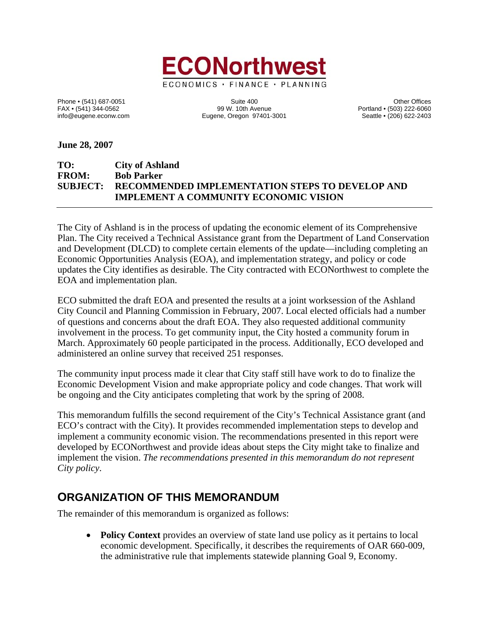

Phone • (541) 687-0051 Cherner (541) 687-0051 Suite 400 Suite 400<br>FAX • (541) 344-0562 (503) 222-6060 Suite 400 Degree of the Suite 400 Cherner (541) 344-0562 FAX • (541) 344-0562 99 W. 10th Avenue Portland • (503) 222-6060 Eugene, Oregon 97401-3001

**June 28, 2007** 

#### **TO: City of Ashland FROM: Bob Parker SUBJECT: RECOMMENDED IMPLEMENTATION STEPS TO DEVELOP AND IMPLEMENT A COMMUNITY ECONOMIC VISION**

The City of Ashland is in the process of updating the economic element of its Comprehensive Plan. The City received a Technical Assistance grant from the Department of Land Conservation and Development (DLCD) to complete certain elements of the update—including completing an Economic Opportunities Analysis (EOA), and implementation strategy, and policy or code updates the City identifies as desirable. The City contracted with ECONorthwest to complete the EOA and implementation plan.

ECO submitted the draft EOA and presented the results at a joint worksession of the Ashland City Council and Planning Commission in February, 2007. Local elected officials had a number of questions and concerns about the draft EOA. They also requested additional community involvement in the process. To get community input, the City hosted a community forum in March. Approximately 60 people participated in the process. Additionally, ECO developed and administered an online survey that received 251 responses.

The community input process made it clear that City staff still have work to do to finalize the Economic Development Vision and make appropriate policy and code changes. That work will be ongoing and the City anticipates completing that work by the spring of 2008.

This memorandum fulfills the second requirement of the City's Technical Assistance grant (and ECO's contract with the City). It provides recommended implementation steps to develop and implement a community economic vision. The recommendations presented in this report were developed by ECONorthwest and provide ideas about steps the City might take to finalize and implement the vision. *The recommendations presented in this memorandum do not represent City policy*.

### **ORGANIZATION OF THIS MEMORANDUM**

The remainder of this memorandum is organized as follows:

• **Policy Context** provides an overview of state land use policy as it pertains to local economic development. Specifically, it describes the requirements of OAR 660-009, the administrative rule that implements statewide planning Goal 9, Economy.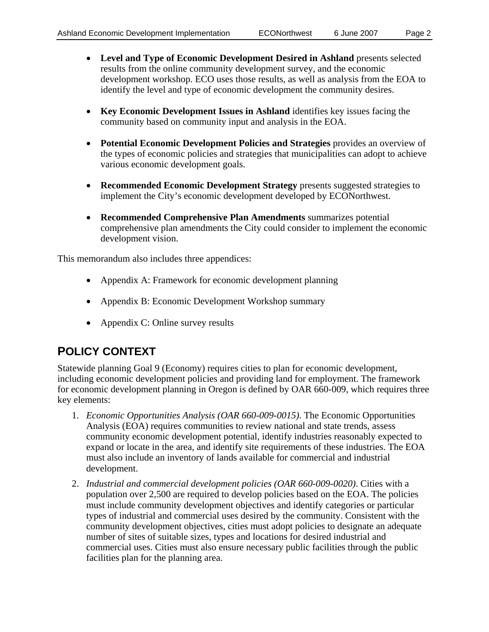- **Level and Type of Economic Development Desired in Ashland** presents selected results from the online community development survey, and the economic development workshop. ECO uses those results, as well as analysis from the EOA to identify the level and type of economic development the community desires.
- **Key Economic Development Issues in Ashland** identifies key issues facing the community based on community input and analysis in the EOA.
- **Potential Economic Development Policies and Strategies** provides an overview of the types of economic policies and strategies that municipalities can adopt to achieve various economic development goals.
- **Recommended Economic Development Strategy** presents suggested strategies to implement the City's economic development developed by ECONorthwest.
- **Recommended Comprehensive Plan Amendments** summarizes potential comprehensive plan amendments the City could consider to implement the economic development vision.

This memorandum also includes three appendices:

- Appendix A: Framework for economic development planning
- Appendix B: Economic Development Workshop summary
- Appendix C: Online survey results

### **POLICY CONTEXT**

Statewide planning Goal 9 (Economy) requires cities to plan for economic development, including economic development policies and providing land for employment. The framework for economic development planning in Oregon is defined by OAR 660-009, which requires three key elements:

- 1. *Economic Opportunities Analysis (OAR 660-009-0015)*. The Economic Opportunities Analysis (EOA) requires communities to review national and state trends, assess community economic development potential, identify industries reasonably expected to expand or locate in the area, and identify site requirements of these industries. The EOA must also include an inventory of lands available for commercial and industrial development.
- 2. *Industrial and commercial development policies (OAR 660-009-0020)*. Cities with a population over 2,500 are required to develop policies based on the EOA. The policies must include community development objectives and identify categories or particular types of industrial and commercial uses desired by the community. Consistent with the community development objectives, cities must adopt policies to designate an adequate number of sites of suitable sizes, types and locations for desired industrial and commercial uses. Cities must also ensure necessary public facilities through the public facilities plan for the planning area.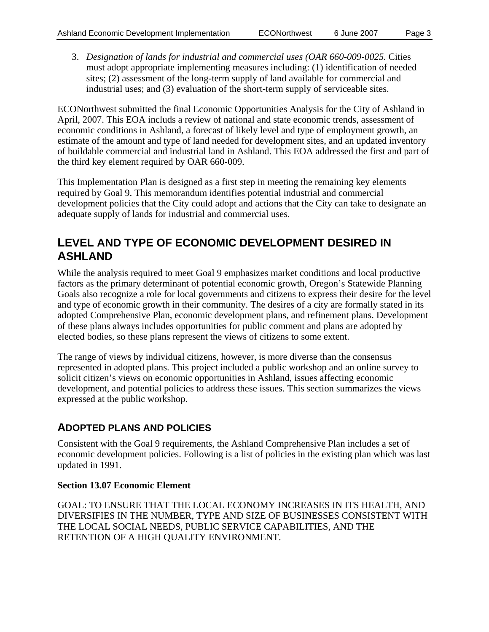3. *Designation of lands for industrial and commercial uses (OAR 660-009-0025.* Cities must adopt appropriate implementing measures including: (1) identification of needed sites; (2) assessment of the long-term supply of land available for commercial and industrial uses; and (3) evaluation of the short-term supply of serviceable sites.

ECONorthwest submitted the final Economic Opportunities Analysis for the City of Ashland in April, 2007. This EOA includs a review of national and state economic trends, assessment of economic conditions in Ashland, a forecast of likely level and type of employment growth, an estimate of the amount and type of land needed for development sites, and an updated inventory of buildable commercial and industrial land in Ashland. This EOA addressed the first and part of the third key element required by OAR 660-009.

This Implementation Plan is designed as a first step in meeting the remaining key elements required by Goal 9. This memorandum identifies potential industrial and commercial development policies that the City could adopt and actions that the City can take to designate an adequate supply of lands for industrial and commercial uses.

### **LEVEL AND TYPE OF ECONOMIC DEVELOPMENT DESIRED IN ASHLAND**

While the analysis required to meet Goal 9 emphasizes market conditions and local productive factors as the primary determinant of potential economic growth, Oregon's Statewide Planning Goals also recognize a role for local governments and citizens to express their desire for the level and type of economic growth in their community. The desires of a city are formally stated in its adopted Comprehensive Plan, economic development plans, and refinement plans. Development of these plans always includes opportunities for public comment and plans are adopted by elected bodies, so these plans represent the views of citizens to some extent.

The range of views by individual citizens, however, is more diverse than the consensus represented in adopted plans. This project included a public workshop and an online survey to solicit citizen's views on economic opportunities in Ashland, issues affecting economic development, and potential policies to address these issues. This section summarizes the views expressed at the public workshop.

### **ADOPTED PLANS AND POLICIES**

Consistent with the Goal 9 requirements, the Ashland Comprehensive Plan includes a set of economic development policies. Following is a list of policies in the existing plan which was last updated in 1991.

#### **Section 13.07 Economic Element**

GOAL: TO ENSURE THAT THE LOCAL ECONOMY INCREASES IN ITS HEALTH, AND DIVERSIFIES IN THE NUMBER, TYPE AND SIZE OF BUSINESSES CONSISTENT WITH THE LOCAL SOCIAL NEEDS, PUBLIC SERVICE CAPABILITIES, AND THE RETENTION OF A HIGH QUALITY ENVIRONMENT.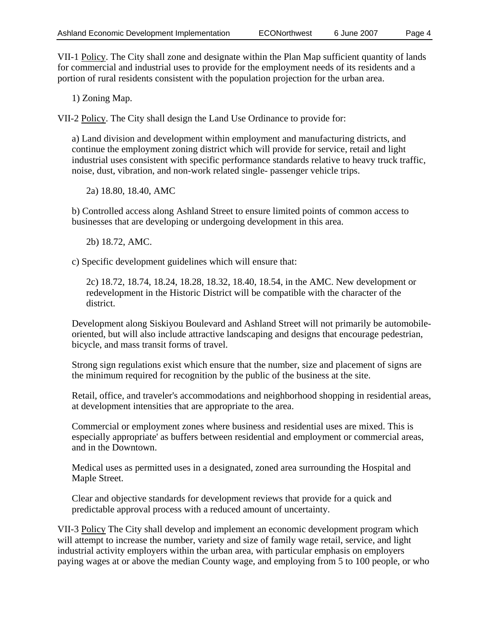VII-1 Policy. The City shall zone and designate within the Plan Map sufficient quantity of lands for commercial and industrial uses to provide for the employment needs of its residents and a portion of rural residents consistent with the population projection for the urban area.

1) Zoning Map.

VII-2 Policy. The City shall design the Land Use Ordinance to provide for:

a) Land division and development within employment and manufacturing districts, and continue the employment zoning district which will provide for service, retail and light industrial uses consistent with specific performance standards relative to heavy truck traffic, noise, dust, vibration, and non-work related single- passenger vehicle trips.

2a) 18.80, 18.40, AMC

b) Controlled access along Ashland Street to ensure limited points of common access to businesses that are developing or undergoing development in this area.

2b) 18.72, AMC.

c) Specific development guidelines which will ensure that:

2c) 18.72, 18.74, 18.24, 18.28, 18.32, 18.40, 18.54, in the AMC. New development or redevelopment in the Historic District will be compatible with the character of the district.

Development along Siskiyou Boulevard and Ashland Street will not primarily be automobileoriented, but will also include attractive landscaping and designs that encourage pedestrian, bicycle, and mass transit forms of travel.

Strong sign regulations exist which ensure that the number, size and placement of signs are the minimum required for recognition by the public of the business at the site.

Retail, office, and traveler's accommodations and neighborhood shopping in residential areas, at development intensities that are appropriate to the area.

Commercial or employment zones where business and residential uses are mixed. This is especially appropriate' as buffers between residential and employment or commercial areas, and in the Downtown.

Medical uses as permitted uses in a designated, zoned area surrounding the Hospital and Maple Street.

Clear and objective standards for development reviews that provide for a quick and predictable approval process with a reduced amount of uncertainty.

VII-3 Policy The City shall develop and implement an economic development program which will attempt to increase the number, variety and size of family wage retail, service, and light industrial activity employers within the urban area, with particular emphasis on employers paying wages at or above the median County wage, and employing from 5 to 100 people, or who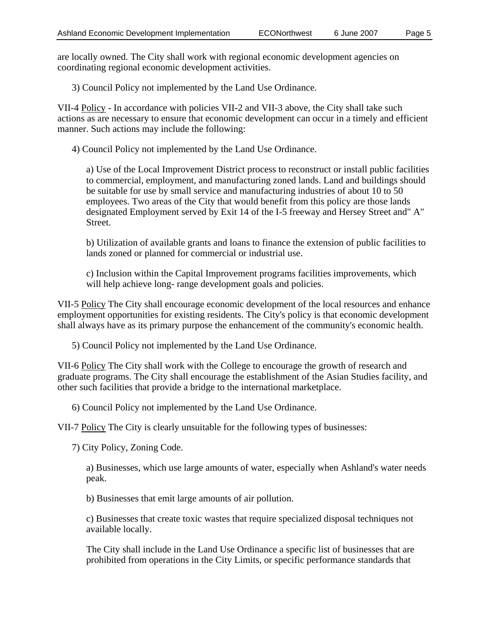are locally owned. The City shall work with regional economic development agencies on coordinating regional economic development activities.

3) Council Policy not implemented by the Land Use Ordinance.

VII-4 Policy - In accordance with policies VII-2 and VII-3 above, the City shall take such actions as are necessary to ensure that economic development can occur in a timely and efficient manner. Such actions may include the following:

4) Council Policy not implemented by the Land Use Ordinance.

a) Use of the Local Improvement District process to reconstruct or install public facilities to commercial, employment, and manufacturing zoned lands. Land and buildings should be suitable for use by small service and manufacturing industries of about 10 to 50 employees. Two areas of the City that would benefit from this policy are those lands designated Employment served by Exit 14 of the I-5 freeway and Hersey Street and" A" Street.

b) Utilization of available grants and loans to finance the extension of public facilities to lands zoned or planned for commercial or industrial use.

c) Inclusion within the Capital Improvement programs facilities improvements, which will help achieve long- range development goals and policies.

VII-5 Policy The City shall encourage economic development of the local resources and enhance employment opportunities for existing residents. The City's policy is that economic development shall always have as its primary purpose the enhancement of the community's economic health.

5) Council Policy not implemented by the Land Use Ordinance.

VII-6 Policy The City shall work with the College to encourage the growth of research and graduate programs. The City shall encourage the establishment of the Asian Studies facility, and other such facilities that provide a bridge to the international marketplace.

6) Council Policy not implemented by the Land Use Ordinance.

VII-7 Policy The City is clearly unsuitable for the following types of businesses:

7) City Policy, Zoning Code.

a) Businesses, which use large amounts of water, especially when Ashland's water needs peak.

b) Businesses that emit large amounts of air pollution.

c) Businesses that create toxic wastes that require specialized disposal techniques not available locally.

The City shall include in the Land Use Ordinance a specific list of businesses that are prohibited from operations in the City Limits, or specific performance standards that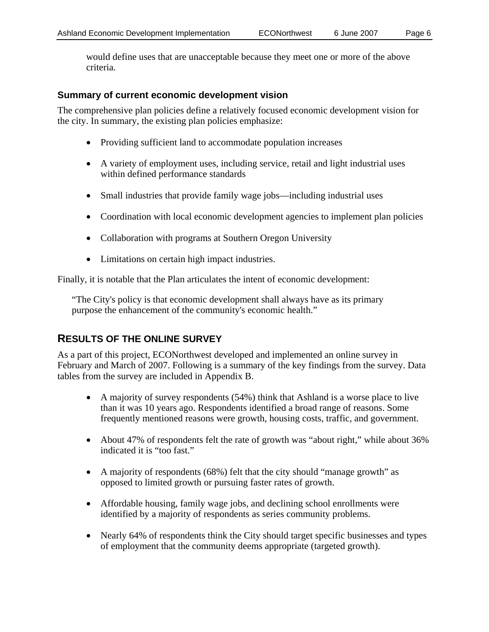would define uses that are unacceptable because they meet one or more of the above criteria.

#### **Summary of current economic development vision**

The comprehensive plan policies define a relatively focused economic development vision for the city. In summary, the existing plan policies emphasize:

- Providing sufficient land to accommodate population increases
- A variety of employment uses, including service, retail and light industrial uses within defined performance standards
- Small industries that provide family wage jobs—including industrial uses
- Coordination with local economic development agencies to implement plan policies
- Collaboration with programs at Southern Oregon University
- Limitations on certain high impact industries.

Finally, it is notable that the Plan articulates the intent of economic development:

"The City's policy is that economic development shall always have as its primary purpose the enhancement of the community's economic health."

### **RESULTS OF THE ONLINE SURVEY**

As a part of this project, ECONorthwest developed and implemented an online survey in February and March of 2007. Following is a summary of the key findings from the survey. Data tables from the survey are included in Appendix B.

- A majority of survey respondents (54%) think that Ashland is a worse place to live than it was 10 years ago. Respondents identified a broad range of reasons. Some frequently mentioned reasons were growth, housing costs, traffic, and government.
- About 47% of respondents felt the rate of growth was "about right," while about 36% indicated it is "too fast."
- A majority of respondents (68%) felt that the city should "manage growth" as opposed to limited growth or pursuing faster rates of growth.
- Affordable housing, family wage jobs, and declining school enrollments were identified by a majority of respondents as series community problems.
- Nearly 64% of respondents think the City should target specific businesses and types of employment that the community deems appropriate (targeted growth).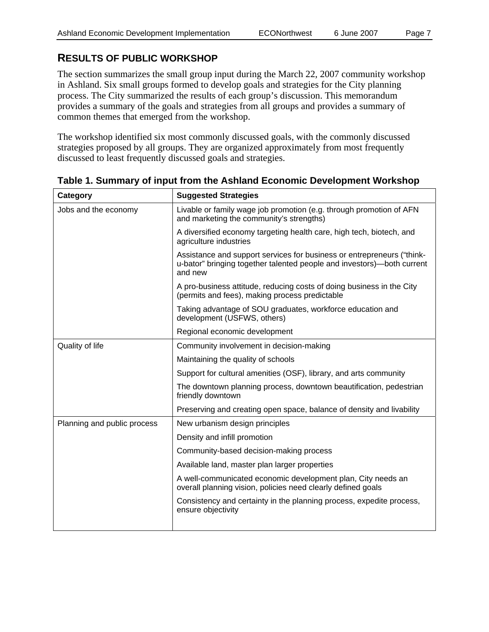### **RESULTS OF PUBLIC WORKSHOP**

The section summarizes the small group input during the March 22, 2007 community workshop in Ashland. Six small groups formed to develop goals and strategies for the City planning process. The City summarized the results of each group's discussion. This memorandum provides a summary of the goals and strategies from all groups and provides a summary of common themes that emerged from the workshop.

The workshop identified six most commonly discussed goals, with the commonly discussed strategies proposed by all groups. They are organized approximately from most frequently discussed to least frequently discussed goals and strategies.

| Category                    | <b>Suggested Strategies</b>                                                                                                                                 |  |  |  |  |
|-----------------------------|-------------------------------------------------------------------------------------------------------------------------------------------------------------|--|--|--|--|
| Jobs and the economy        | Livable or family wage job promotion (e.g. through promotion of AFN<br>and marketing the community's strengths)                                             |  |  |  |  |
|                             | A diversified economy targeting health care, high tech, biotech, and<br>agriculture industries                                                              |  |  |  |  |
|                             | Assistance and support services for business or entrepreneurs ("think-<br>u-bator" bringing together talented people and investors)—both current<br>and new |  |  |  |  |
|                             | A pro-business attitude, reducing costs of doing business in the City<br>(permits and fees), making process predictable                                     |  |  |  |  |
|                             | Taking advantage of SOU graduates, workforce education and<br>development (USFWS, others)                                                                   |  |  |  |  |
|                             | Regional economic development                                                                                                                               |  |  |  |  |
| Quality of life             | Community involvement in decision-making                                                                                                                    |  |  |  |  |
|                             | Maintaining the quality of schools                                                                                                                          |  |  |  |  |
|                             | Support for cultural amenities (OSF), library, and arts community                                                                                           |  |  |  |  |
|                             | The downtown planning process, downtown beautification, pedestrian<br>friendly downtown                                                                     |  |  |  |  |
|                             | Preserving and creating open space, balance of density and livability                                                                                       |  |  |  |  |
| Planning and public process | New urbanism design principles                                                                                                                              |  |  |  |  |
|                             | Density and infill promotion                                                                                                                                |  |  |  |  |
|                             | Community-based decision-making process                                                                                                                     |  |  |  |  |
|                             | Available land, master plan larger properties                                                                                                               |  |  |  |  |
|                             | A well-communicated economic development plan, City needs an<br>overall planning vision, policies need clearly defined goals                                |  |  |  |  |
|                             | Consistency and certainty in the planning process, expedite process,<br>ensure objectivity                                                                  |  |  |  |  |
|                             |                                                                                                                                                             |  |  |  |  |

**Table 1. Summary of input from the Ashland Economic Development Workshop**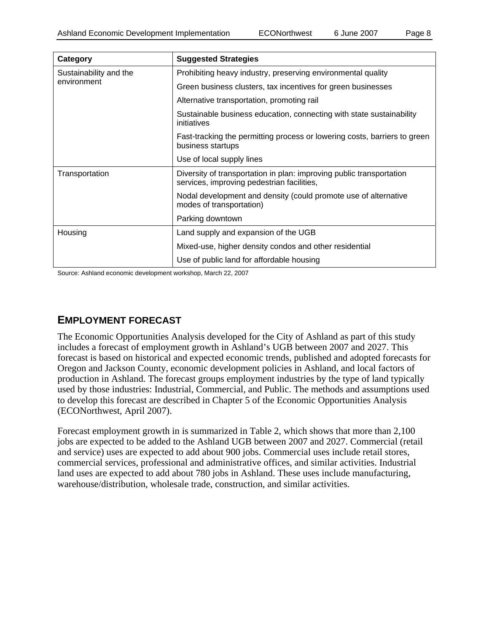| Category               | <b>Suggested Strategies</b>                                                                                        |  |
|------------------------|--------------------------------------------------------------------------------------------------------------------|--|
| Sustainability and the | Prohibiting heavy industry, preserving environmental quality                                                       |  |
| environment            | Green business clusters, tax incentives for green businesses                                                       |  |
|                        | Alternative transportation, promoting rail                                                                         |  |
|                        | Sustainable business education, connecting with state sustainability<br>initiatives                                |  |
|                        | Fast-tracking the permitting process or lowering costs, barriers to green<br>business startups                     |  |
|                        | Use of local supply lines                                                                                          |  |
| Transportation         | Diversity of transportation in plan: improving public transportation<br>services, improving pedestrian facilities, |  |
|                        | Nodal development and density (could promote use of alternative<br>modes of transportation)                        |  |
|                        | Parking downtown                                                                                                   |  |
| Housing                | Land supply and expansion of the UGB                                                                               |  |
|                        | Mixed-use, higher density condos and other residential                                                             |  |
|                        | Use of public land for affordable housing                                                                          |  |

Source: Ashland economic development workshop, March 22, 2007

### **EMPLOYMENT FORECAST**

The Economic Opportunities Analysis developed for the City of Ashland as part of this study includes a forecast of employment growth in Ashland's UGB between 2007 and 2027. This forecast is based on historical and expected economic trends, published and adopted forecasts for Oregon and Jackson County, economic development policies in Ashland, and local factors of production in Ashland. The forecast groups employment industries by the type of land typically used by those industries: Industrial, Commercial, and Public. The methods and assumptions used to develop this forecast are described in Chapter 5 of the Economic Opportunities Analysis (ECONorthwest, April 2007).

Forecast employment growth in is summarized in Table 2, which shows that more than 2,100 jobs are expected to be added to the Ashland UGB between 2007 and 2027. Commercial (retail and service) uses are expected to add about 900 jobs. Commercial uses include retail stores, commercial services, professional and administrative offices, and similar activities. Industrial land uses are expected to add about 780 jobs in Ashland. These uses include manufacturing, warehouse/distribution, wholesale trade, construction, and similar activities.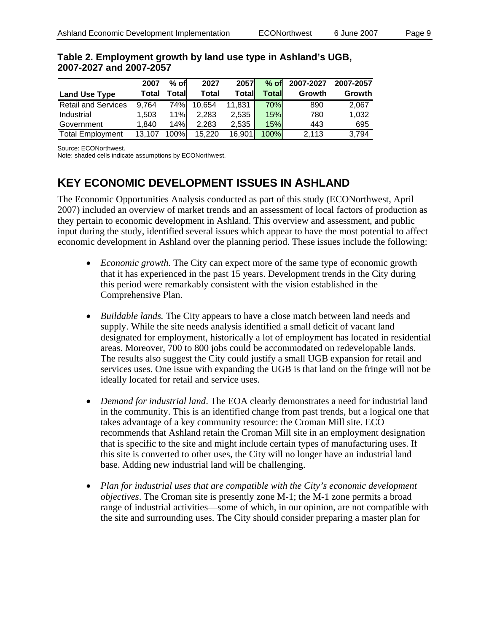|                            | 2007   | $%$ of | 2027         | 2057   | $%$ of | 2007-2027 | 2007-2057 |
|----------------------------|--------|--------|--------------|--------|--------|-----------|-----------|
| <b>Land Use Type</b>       | Total  | Totall | <b>Total</b> | Totall | Totall | Growth    | Growth    |
| <b>Retail and Services</b> | 9.764  | 74%    | 10,654       | 11.831 | 70%    | 890       | 2,067     |
| Industrial                 | 1.503  | 11%    | 2.283        | 2,535  | 15%    | 780       | 1,032     |
| Government                 | 1.840  | 14%    | 2.283        | 2.535  | 15%    | 443       | 695       |
| <b>Total Employment</b>    | 13.107 | 100%   | 15,220       | 16,901 | 100%   | 2.113     | 3,794     |

#### **Table 2. Employment growth by land use type in Ashland's UGB, 2007-2027 and 2007-2057**

Source: ECONorthwest.

Note: shaded cells indicate assumptions by ECONorthwest.

### **KEY ECONOMIC DEVELOPMENT ISSUES IN ASHLAND**

The Economic Opportunities Analysis conducted as part of this study (ECONorthwest, April 2007) included an overview of market trends and an assessment of local factors of production as they pertain to economic development in Ashland. This overview and assessment, and public input during the study, identified several issues which appear to have the most potential to affect economic development in Ashland over the planning period. These issues include the following:

- *Economic growth.* The City can expect more of the same type of economic growth that it has experienced in the past 15 years. Development trends in the City during this period were remarkably consistent with the vision established in the Comprehensive Plan.
- *Buildable lands.* The City appears to have a close match between land needs and supply. While the site needs analysis identified a small deficit of vacant land designated for employment, historically a lot of employment has located in residential areas. Moreover, 700 to 800 jobs could be accommodated on redevelopable lands. The results also suggest the City could justify a small UGB expansion for retail and services uses. One issue with expanding the UGB is that land on the fringe will not be ideally located for retail and service uses.
- *Demand for industrial land*. The EOA clearly demonstrates a need for industrial land in the community. This is an identified change from past trends, but a logical one that takes advantage of a key community resource: the Croman Mill site. ECO recommends that Ashland retain the Croman Mill site in an employment designation that is specific to the site and might include certain types of manufacturing uses. If this site is converted to other uses, the City will no longer have an industrial land base. Adding new industrial land will be challenging.
- *Plan for industrial uses that are compatible with the City's economic development objectives*. The Croman site is presently zone M-1; the M-1 zone permits a broad range of industrial activities—some of which, in our opinion, are not compatible with the site and surrounding uses. The City should consider preparing a master plan for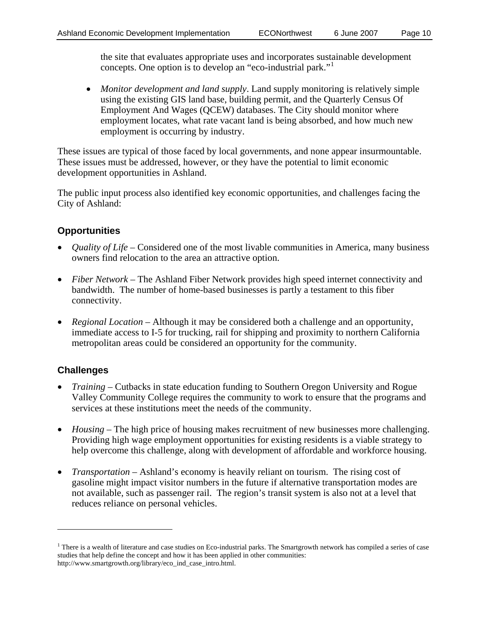the site that evaluates appropriate uses and incorporates sustainable development concepts. One option is to develop an "eco-industrial park."[1](#page-9-0)

• *Monitor development and land supply*. Land supply monitoring is relatively simple using the existing GIS land base, building permit, and the Quarterly Census Of Employment And Wages (QCEW) databases. The City should monitor where employment locates, what rate vacant land is being absorbed, and how much new employment is occurring by industry.

These issues are typical of those faced by local governments, and none appear insurmountable. These issues must be addressed, however, or they have the potential to limit economic development opportunities in Ashland.

The public input process also identified key economic opportunities, and challenges facing the City of Ashland:

### **Opportunities**

- *Quality of Life* Considered one of the most livable communities in America, many business owners find relocation to the area an attractive option.
- *Fiber Network* The Ashland Fiber Network provides high speed internet connectivity and bandwidth. The number of home-based businesses is partly a testament to this fiber connectivity.
- *Regional Location* Although it may be considered both a challenge and an opportunity, immediate access to I-5 for trucking, rail for shipping and proximity to northern California metropolitan areas could be considered an opportunity for the community.

### **Challenges**

 $\overline{a}$ 

- *Training* Cutbacks in state education funding to Southern Oregon University and Rogue Valley Community College requires the community to work to ensure that the programs and services at these institutions meet the needs of the community.
- *Housing* The high price of housing makes recruitment of new businesses more challenging. Providing high wage employment opportunities for existing residents is a viable strategy to help overcome this challenge, along with development of affordable and workforce housing.
- *Transportation* Ashland's economy is heavily reliant on tourism. The rising cost of gasoline might impact visitor numbers in the future if alternative transportation modes are not available, such as passenger rail. The region's transit system is also not at a level that reduces reliance on personal vehicles.

<span id="page-9-0"></span><sup>&</sup>lt;sup>1</sup> There is a wealth of literature and case studies on Eco-industrial parks. The Smartgrowth network has compiled a series of case studies that help define the concept and how it has been applied in other communities: http://www.smartgrowth.org/library/eco\_ind\_case\_intro.html.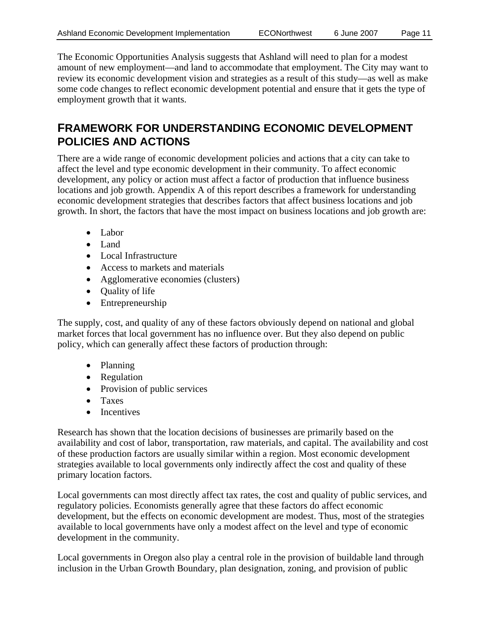The Economic Opportunities Analysis suggests that Ashland will need to plan for a modest amount of new employment—and land to accommodate that employment. The City may want to review its economic development vision and strategies as a result of this study—as well as make some code changes to reflect economic development potential and ensure that it gets the type of employment growth that it wants.

### **FRAMEWORK FOR UNDERSTANDING ECONOMIC DEVELOPMENT POLICIES AND ACTIONS**

There are a wide range of economic development policies and actions that a city can take to affect the level and type economic development in their community. To affect economic development, any policy or action must affect a factor of production that influence business locations and job growth. Appendix A of this report describes a framework for understanding economic development strategies that describes factors that affect business locations and job growth. In short, the factors that have the most impact on business locations and job growth are:

- Labor
- Land
- Local Infrastructure
- Access to markets and materials
- Agglomerative economies (clusters)
- Quality of life
- Entrepreneurship

The supply, cost, and quality of any of these factors obviously depend on national and global market forces that local government has no influence over. But they also depend on public policy, which can generally affect these factors of production through:

- Planning
- Regulation
- Provision of public services
- Taxes
- Incentives

Research has shown that the location decisions of businesses are primarily based on the availability and cost of labor, transportation, raw materials, and capital. The availability and cost of these production factors are usually similar within a region. Most economic development strategies available to local governments only indirectly affect the cost and quality of these primary location factors.

Local governments can most directly affect tax rates, the cost and quality of public services, and regulatory policies. Economists generally agree that these factors do affect economic development, but the effects on economic development are modest. Thus, most of the strategies available to local governments have only a modest affect on the level and type of economic development in the community.

Local governments in Oregon also play a central role in the provision of buildable land through inclusion in the Urban Growth Boundary, plan designation, zoning, and provision of public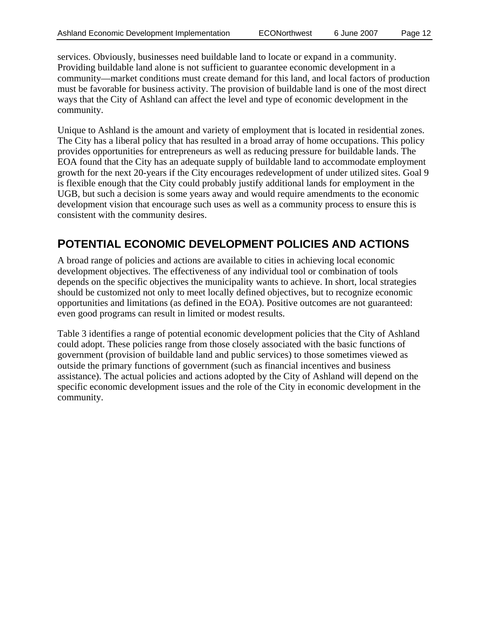services. Obviously, businesses need buildable land to locate or expand in a community. Providing buildable land alone is not sufficient to guarantee economic development in a community—market conditions must create demand for this land, and local factors of production must be favorable for business activity. The provision of buildable land is one of the most direct ways that the City of Ashland can affect the level and type of economic development in the community.

Unique to Ashland is the amount and variety of employment that is located in residential zones. The City has a liberal policy that has resulted in a broad array of home occupations. This policy provides opportunities for entrepreneurs as well as reducing pressure for buildable lands. The EOA found that the City has an adequate supply of buildable land to accommodate employment growth for the next 20-years if the City encourages redevelopment of under utilized sites. Goal 9 is flexible enough that the City could probably justify additional lands for employment in the UGB, but such a decision is some years away and would require amendments to the economic development vision that encourage such uses as well as a community process to ensure this is consistent with the community desires.

### **POTENTIAL ECONOMIC DEVELOPMENT POLICIES AND ACTIONS**

A broad range of policies and actions are available to cities in achieving local economic development objectives. The effectiveness of any individual tool or combination of tools depends on the specific objectives the municipality wants to achieve. In short, local strategies should be customized not only to meet locally defined objectives, but to recognize economic opportunities and limitations (as defined in the EOA). Positive outcomes are not guaranteed: even good programs can result in limited or modest results.

Table 3 identifies a range of potential economic development policies that the City of Ashland could adopt. These policies range from those closely associated with the basic functions of government (provision of buildable land and public services) to those sometimes viewed as outside the primary functions of government (such as financial incentives and business assistance). The actual policies and actions adopted by the City of Ashland will depend on the specific economic development issues and the role of the City in economic development in the community.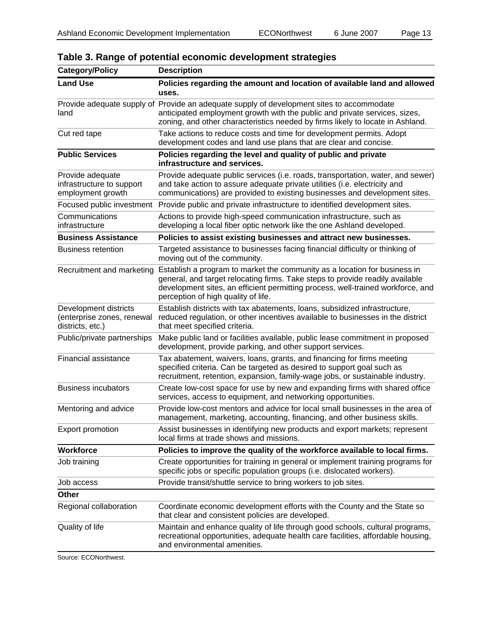| <b>Description</b>                                                                                                                                                                                                                                                                   |
|--------------------------------------------------------------------------------------------------------------------------------------------------------------------------------------------------------------------------------------------------------------------------------------|
| Policies regarding the amount and location of available land and allowed<br>uses.                                                                                                                                                                                                    |
| Provide adequate supply of Provide an adequate supply of development sites to accommodate<br>anticipated employment growth with the public and private services, sizes,<br>zoning, and other characteristics needed by firms likely to locate in Ashland.                            |
| Take actions to reduce costs and time for development permits. Adopt<br>development codes and land use plans that are clear and concise.                                                                                                                                             |
| Policies regarding the level and quality of public and private<br>infrastructure and services.                                                                                                                                                                                       |
| Provide adequate public services (i.e. roads, transportation, water, and sewer)<br>and take action to assure adequate private utilities (i.e. electricity and<br>communications) are provided to existing businesses and development sites.                                          |
| Focused public investment Provide public and private infrastructure to identified development sites.                                                                                                                                                                                 |
| Actions to provide high-speed communication infrastructure, such as<br>developing a local fiber optic network like the one Ashland developed.                                                                                                                                        |
| Policies to assist existing businesses and attract new businesses.                                                                                                                                                                                                                   |
| Targeted assistance to businesses facing financial difficulty or thinking of<br>moving out of the community.                                                                                                                                                                         |
| Establish a program to market the community as a location for business in<br>general, and target relocating firms. Take steps to provide readily available<br>development sites, an efficient permitting process, well-trained workforce, and<br>perception of high quality of life. |
| Establish districts with tax abatements, loans, subsidized infrastructure,<br>reduced regulation, or other incentives available to businesses in the district<br>that meet specified criteria.                                                                                       |
| Make public land or facilities available, public lease commitment in proposed<br>development, provide parking, and other support services.                                                                                                                                           |
| Tax abatement, waivers, loans, grants, and financing for firms meeting<br>specified criteria. Can be targeted as desired to support goal such as<br>recruitment, retention, expansion, family-wage jobs, or sustainable industry.                                                    |
| Create low-cost space for use by new and expanding firms with shared office<br>services, access to equipment, and networking opportunities.                                                                                                                                          |
| Provide low-cost mentors and advice for local small businesses in the area of<br>management, marketing, accounting, financing, and other business skills                                                                                                                             |
| Assist businesses in identifying new products and export markets; represent<br>local firms at trade shows and missions.                                                                                                                                                              |
| Policies to improve the quality of the workforce available to local firms.                                                                                                                                                                                                           |
| Create opportunities for training in general or implement training programs for<br>specific jobs or specific population groups (i.e. dislocated workers).                                                                                                                            |
| Provide transit/shuttle service to bring workers to job sites.                                                                                                                                                                                                                       |
|                                                                                                                                                                                                                                                                                      |
| Coordinate economic development efforts with the County and the State so<br>that clear and consistent policies are developed.                                                                                                                                                        |
| Maintain and enhance quality of life through good schools, cultural programs,<br>recreational opportunities, adequate health care facilities, affordable housing,<br>and environmental amenities.                                                                                    |
| Recruitment and marketing                                                                                                                                                                                                                                                            |

### **Table 3. Range of potential economic development strategies**

Source: ECONorthwest.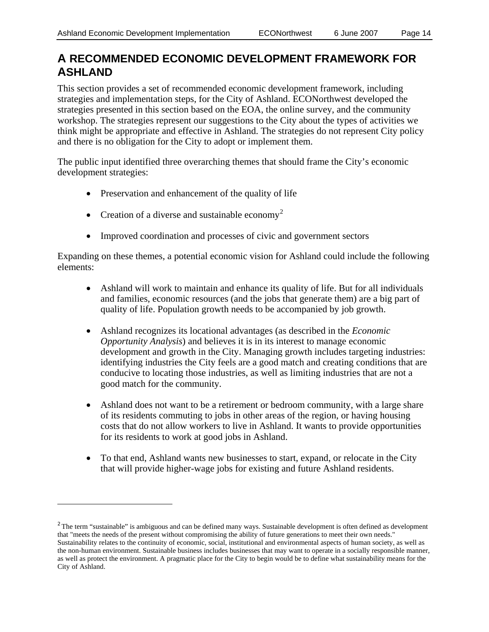$\overline{a}$ 

### **A RECOMMENDED ECONOMIC DEVELOPMENT FRAMEWORK FOR ASHLAND**

This section provides a set of recommended economic development framework, including strategies and implementation steps, for the City of Ashland. ECONorthwest developed the strategies presented in this section based on the EOA, the online survey, and the community workshop. The strategies represent our suggestions to the City about the types of activities we think might be appropriate and effective in Ashland. The strategies do not represent City policy and there is no obligation for the City to adopt or implement them.

The public input identified three overarching themes that should frame the City's economic development strategies:

- Preservation and enhancement of the quality of life
- Creation of a diverse and sustainable economy<sup>[2](#page-13-0)</sup>
- Improved coordination and processes of civic and government sectors

Expanding on these themes, a potential economic vision for Ashland could include the following elements:

- Ashland will work to maintain and enhance its quality of life. But for all individuals and families, economic resources (and the jobs that generate them) are a big part of quality of life. Population growth needs to be accompanied by job growth.
- Ashland recognizes its locational advantages (as described in the *Economic Opportunity Analysis*) and believes it is in its interest to manage economic development and growth in the City. Managing growth includes targeting industries: identifying industries the City feels are a good match and creating conditions that are conducive to locating those industries, as well as limiting industries that are not a good match for the community.
- Ashland does not want to be a retirement or bedroom community, with a large share of its residents commuting to jobs in other areas of the region, or having housing costs that do not allow workers to live in Ashland. It wants to provide opportunities for its residents to work at good jobs in Ashland.
- To that end, Ashland wants new businesses to start, expand, or relocate in the City that will provide higher-wage jobs for existing and future Ashland residents.

<span id="page-13-0"></span> $2$ The term "sustainable" is ambiguous and can be defined many ways. Sustainable development is often defined as development that "meets the needs of the present without compromising the ability of future generations to meet their own needs." Sustainability relates to the continuity of economic, social, institutional and environmental aspects of human society, as well as the non-human environment. Sustainable business includes businesses that may want to operate in a socially responsible manner, as well as protect the environment. A pragmatic place for the City to begin would be to define what sustainability means for the City of Ashland.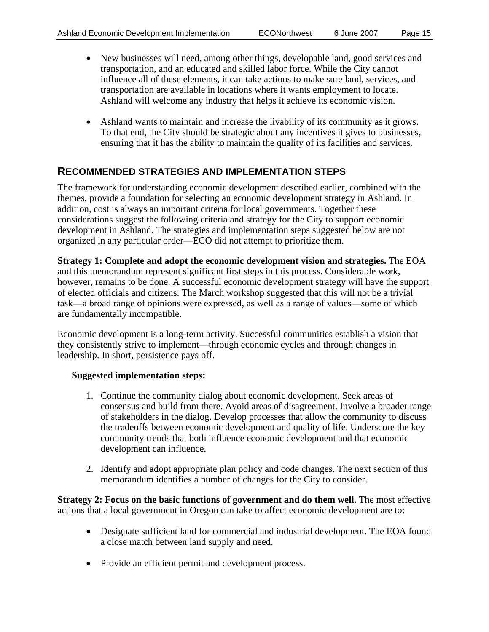- New businesses will need, among other things, developable land, good services and transportation, and an educated and skilled labor force. While the City cannot influence all of these elements, it can take actions to make sure land, services, and transportation are available in locations where it wants employment to locate. Ashland will welcome any industry that helps it achieve its economic vision.
- Ashland wants to maintain and increase the livability of its community as it grows. To that end, the City should be strategic about any incentives it gives to businesses, ensuring that it has the ability to maintain the quality of its facilities and services.

### **RECOMMENDED STRATEGIES AND IMPLEMENTATION STEPS**

The framework for understanding economic development described earlier, combined with the themes, provide a foundation for selecting an economic development strategy in Ashland. In addition, cost is always an important criteria for local governments. Together these considerations suggest the following criteria and strategy for the City to support economic development in Ashland. The strategies and implementation steps suggested below are not organized in any particular order—ECO did not attempt to prioritize them.

**Strategy 1: Complete and adopt the economic development vision and strategies.** The EOA and this memorandum represent significant first steps in this process. Considerable work, however, remains to be done. A successful economic development strategy will have the support of elected officials and citizens. The March workshop suggested that this will not be a trivial task—a broad range of opinions were expressed, as well as a range of values—some of which are fundamentally incompatible.

Economic development is a long-term activity. Successful communities establish a vision that they consistently strive to implement—through economic cycles and through changes in leadership. In short, persistence pays off.

#### **Suggested implementation steps:**

- 1. Continue the community dialog about economic development. Seek areas of consensus and build from there. Avoid areas of disagreement. Involve a broader range of stakeholders in the dialog. Develop processes that allow the community to discuss the tradeoffs between economic development and quality of life. Underscore the key community trends that both influence economic development and that economic development can influence.
- 2. Identify and adopt appropriate plan policy and code changes. The next section of this memorandum identifies a number of changes for the City to consider.

**Strategy 2: Focus on the basic functions of government and do them well**. The most effective actions that a local government in Oregon can take to affect economic development are to:

- Designate sufficient land for commercial and industrial development. The EOA found a close match between land supply and need.
- Provide an efficient permit and development process.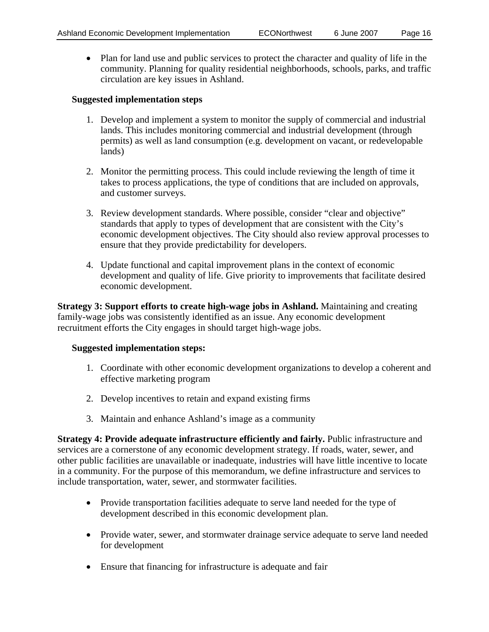• Plan for land use and public services to protect the character and quality of life in the community. Planning for quality residential neighborhoods, schools, parks, and traffic circulation are key issues in Ashland.

#### **Suggested implementation steps**

- 1. Develop and implement a system to monitor the supply of commercial and industrial lands. This includes monitoring commercial and industrial development (through permits) as well as land consumption (e.g. development on vacant, or redevelopable lands)
- 2. Monitor the permitting process. This could include reviewing the length of time it takes to process applications, the type of conditions that are included on approvals, and customer surveys.
- 3. Review development standards. Where possible, consider "clear and objective" standards that apply to types of development that are consistent with the City's economic development objectives. The City should also review approval processes to ensure that they provide predictability for developers.
- 4. Update functional and capital improvement plans in the context of economic development and quality of life. Give priority to improvements that facilitate desired economic development.

**Strategy 3: Support efforts to create high-wage jobs in Ashland.** Maintaining and creating family-wage jobs was consistently identified as an issue. Any economic development recruitment efforts the City engages in should target high-wage jobs.

#### **Suggested implementation steps:**

- 1. Coordinate with other economic development organizations to develop a coherent and effective marketing program
- 2. Develop incentives to retain and expand existing firms
- 3. Maintain and enhance Ashland's image as a community

**Strategy 4: Provide adequate infrastructure efficiently and fairly.** Public infrastructure and services are a cornerstone of any economic development strategy. If roads, water, sewer, and other public facilities are unavailable or inadequate, industries will have little incentive to locate in a community. For the purpose of this memorandum, we define infrastructure and services to include transportation, water, sewer, and stormwater facilities.

- Provide transportation facilities adequate to serve land needed for the type of development described in this economic development plan.
- Provide water, sewer, and stormwater drainage service adequate to serve land needed for development
- Ensure that financing for infrastructure is adequate and fair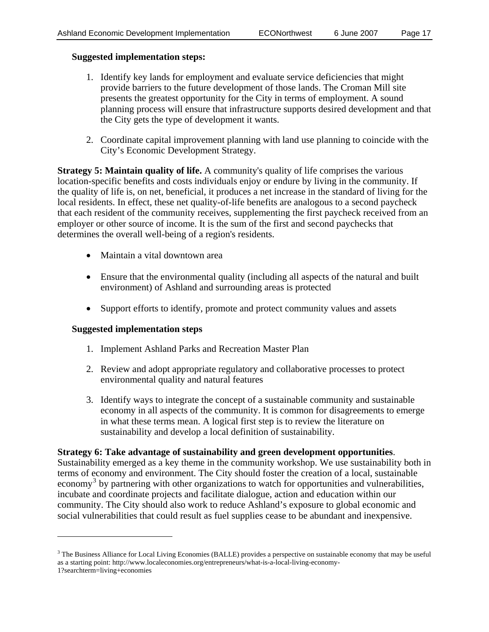#### **Suggested implementation steps:**

- 1. Identify key lands for employment and evaluate service deficiencies that might provide barriers to the future development of those lands. The Croman Mill site presents the greatest opportunity for the City in terms of employment. A sound planning process will ensure that infrastructure supports desired development and that the City gets the type of development it wants.
- 2. Coordinate capital improvement planning with land use planning to coincide with the City's Economic Development Strategy.

**Strategy 5: Maintain quality of life.** A community's quality of life comprises the various location-specific benefits and costs individuals enjoy or endure by living in the community. If the quality of life is, on net, beneficial, it produces a net increase in the standard of living for the local residents. In effect, these net quality-of-life benefits are analogous to a second paycheck that each resident of the community receives, supplementing the first paycheck received from an employer or other source of income. It is the sum of the first and second paychecks that determines the overall well-being of a region's residents.

- Maintain a vital downtown area
- Ensure that the environmental quality (including all aspects of the natural and built environment) of Ashland and surrounding areas is protected
- Support efforts to identify, promote and protect community values and assets

#### **Suggested implementation steps**

 $\overline{a}$ 

- 1. Implement Ashland Parks and Recreation Master Plan
- 2. Review and adopt appropriate regulatory and collaborative processes to protect environmental quality and natural features
- 3. Identify ways to integrate the concept of a sustainable community and sustainable economy in all aspects of the community. It is common for disagreements to emerge in what these terms mean. A logical first step is to review the literature on sustainability and develop a local definition of sustainability.

#### **Strategy 6: Take advantage of sustainability and green development opportunities**.

Sustainability emerged as a key theme in the community workshop. We use sustainability both in terms of economy and environment. The City should foster the creation of a local, sustainable economy<sup>[3](#page-16-0)</sup> by partnering with other organizations to watch for opportunities and vulnerabilities, incubate and coordinate projects and facilitate dialogue, action and education within our community. The City should also work to reduce Ashland's exposure to global economic and social vulnerabilities that could result as fuel supplies cease to be abundant and inexpensive.

<span id="page-16-0"></span><sup>&</sup>lt;sup>3</sup> The Business Alliance for Local Living Economies (BALLE) provides a perspective on sustainable economy that may be useful as a starting point: http://www.localeconomies.org/entrepreneurs/what-is-a-local-living-economy-1?searchterm=living+economies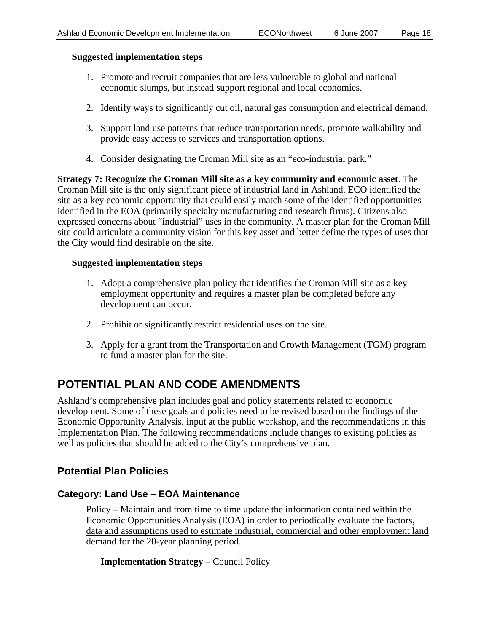#### **Suggested implementation steps**

- 1. Promote and recruit companies that are less vulnerable to global and national economic slumps, but instead support regional and local economies.
- 2. Identify ways to significantly cut oil, natural gas consumption and electrical demand.
- 3. Support land use patterns that reduce transportation needs, promote walkability and provide easy access to services and transportation options.
- 4. Consider designating the Croman Mill site as an "eco-industrial park."

**Strategy 7: Recognize the Croman Mill site as a key community and economic asset**. The Croman Mill site is the only significant piece of industrial land in Ashland. ECO identified the site as a key economic opportunity that could easily match some of the identified opportunities identified in the EOA (primarily specialty manufacturing and research firms). Citizens also expressed concerns about "industrial" uses in the community. A master plan for the Croman Mill site could articulate a community vision for this key asset and better define the types of uses that the City would find desirable on the site.

#### **Suggested implementation steps**

- 1. Adopt a comprehensive plan policy that identifies the Croman Mill site as a key employment opportunity and requires a master plan be completed before any development can occur.
- 2. Prohibit or significantly restrict residential uses on the site.
- 3. Apply for a grant from the Transportation and Growth Management (TGM) program to fund a master plan for the site.

### **POTENTIAL PLAN AND CODE AMENDMENTS**

Ashland's comprehensive plan includes goal and policy statements related to economic development. Some of these goals and policies need to be revised based on the findings of the Economic Opportunity Analysis, input at the public workshop, and the recommendations in this Implementation Plan. The following recommendations include changes to existing policies as well as policies that should be added to the City's comprehensive plan.

### **Potential Plan Policies**

#### **Category: Land Use – EOA Maintenance**

Policy – Maintain and from time to time update the information contained within the Economic Opportunities Analysis (EOA) in order to periodically evaluate the factors, data and assumptions used to estimate industrial, commercial and other employment land demand for the 20-year planning period.

**Implementation Strategy** – Council Policy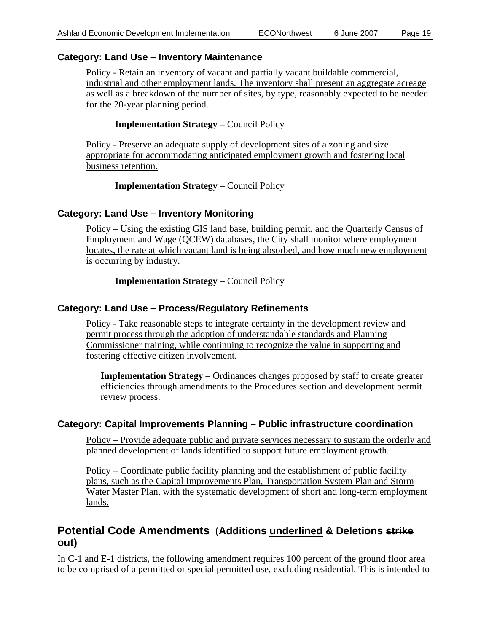### **Category: Land Use – Inventory Maintenance**

Policy - Retain an inventory of vacant and partially vacant buildable commercial, industrial and other employment lands. The inventory shall present an aggregate acreage as well as a breakdown of the number of sites, by type, reasonably expected to be needed for the 20-year planning period.

#### **Implementation Strategy** – Council Policy

Policy - Preserve an adequate supply of development sites of a zoning and size appropriate for accommodating anticipated employment growth and fostering local business retention.

#### **Implementation Strategy** – Council Policy

### **Category: Land Use – Inventory Monitoring**

Policy – Using the existing GIS land base, building permit, and the Quarterly Census of Employment and Wage (QCEW) databases, the City shall monitor where employment locates, the rate at which vacant land is being absorbed, and how much new employment is occurring by industry.

**Implementation Strategy** – Council Policy

### **Category: Land Use – Process/Regulatory Refinements**

Policy - Take reasonable steps to integrate certainty in the development review and permit process through the adoption of understandable standards and Planning Commissioner training, while continuing to recognize the value in supporting and fostering effective citizen involvement.

**Implementation Strategy** – Ordinances changes proposed by staff to create greater efficiencies through amendments to the Procedures section and development permit review process.

#### **Category: Capital Improvements Planning – Public infrastructure coordination**

Policy – Provide adequate public and private services necessary to sustain the orderly and planned development of lands identified to support future employment growth.

Policy – Coordinate public facility planning and the establishment of public facility plans, such as the Capital Improvements Plan, Transportation System Plan and Storm Water Master Plan, with the systematic development of short and long-term employment lands.

### **Potential Code Amendments** (**Additions underlined & Deletions strike out)**

In C-1 and E-1 districts, the following amendment requires 100 percent of the ground floor area to be comprised of a permitted or special permitted use, excluding residential. This is intended to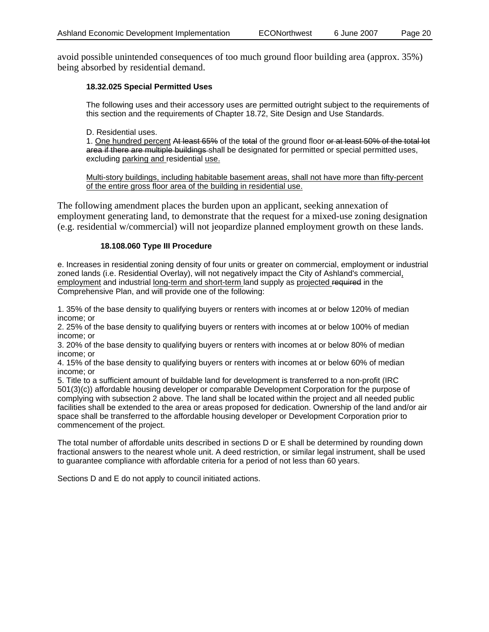avoid possible unintended consequences of too much ground floor building area (approx. 35%) being absorbed by residential demand.

#### **18.32.025 Special Permitted Uses**

The following uses and their accessory uses are permitted outright subject to the requirements of this section and the requirements of Chapter 18.72, Site Design and Use Standards.

#### D. Residential uses.

1. One hundred percent At least 65% of the total of the ground floor or at least 50% of the total lot area if there are multiple buildings shall be designated for permitted or special permitted uses, excluding parking and residential use.

Multi-story buildings, including habitable basement areas, shall not have more than fifty-percent of the entire gross floor area of the building in residential use.

The following amendment places the burden upon an applicant, seeking annexation of employment generating land, to demonstrate that the request for a mixed-use zoning designation (e.g. residential w/commercial) will not jeopardize planned employment growth on these lands.

#### **18.108.060 Type III Procedure**

e. Increases in residential zoning density of four units or greater on commercial, employment or industrial zoned lands (i.e. Residential Overlay), will not negatively impact the City of Ashland's commercial, employment and industrial long-term and short-term land supply as projected required in the Comprehensive Plan, and will provide one of the following:

1. 35% of the base density to qualifying buyers or renters with incomes at or below 120% of median income; or

2. 25% of the base density to qualifying buyers or renters with incomes at or below 100% of median income; or

3. 20% of the base density to qualifying buyers or renters with incomes at or below 80% of median income; or

4. 15% of the base density to qualifying buyers or renters with incomes at or below 60% of median income; or

5. Title to a sufficient amount of buildable land for development is transferred to a non-profit (IRC 501(3)(c)) affordable housing developer or comparable Development Corporation for the purpose of complying with subsection 2 above. The land shall be located within the project and all needed public facilities shall be extended to the area or areas proposed for dedication. Ownership of the land and/or air space shall be transferred to the affordable housing developer or Development Corporation prior to commencement of the project.

The total number of affordable units described in sections D or E shall be determined by rounding down fractional answers to the nearest whole unit. A deed restriction, or similar legal instrument, shall be used to guarantee compliance with affordable criteria for a period of not less than 60 years.

Sections D and E do not apply to council initiated actions.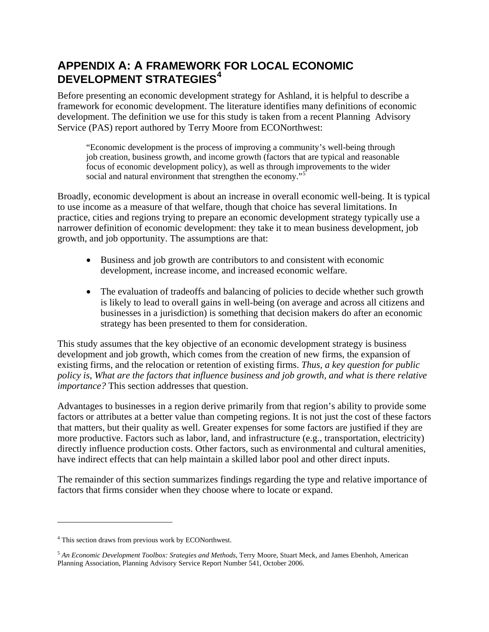### **APPENDIX A: A FRAMEWORK FOR LOCAL ECONOMIC DEVELOPMENT STRATEGIES[4](#page-20-0)**

Before presenting an economic development strategy for Ashland, it is helpful to describe a framework for economic development. The literature identifies many definitions of economic development. The definition we use for this study is taken from a recent Planning Advisory Service (PAS) report authored by Terry Moore from ECONorthwest:

"Economic development is the process of improving a community's well-being through job creation, business growth, and income growth (factors that are typical and reasonable focus of economic development policy), as well as through improvements to the wider social and natural environment that strengthen the economy."<sup>[5](#page-20-1)</sup>

Broadly, economic development is about an increase in overall economic well-being. It is typical to use income as a measure of that welfare, though that choice has several limitations. In practice, cities and regions trying to prepare an economic development strategy typically use a narrower definition of economic development: they take it to mean business development, job growth, and job opportunity. The assumptions are that:

- Business and job growth are contributors to and consistent with economic development, increase income, and increased economic welfare.
- The evaluation of tradeoffs and balancing of policies to decide whether such growth is likely to lead to overall gains in well-being (on average and across all citizens and businesses in a jurisdiction) is something that decision makers do after an economic strategy has been presented to them for consideration.

This study assumes that the key objective of an economic development strategy is business development and job growth, which comes from the creation of new firms, the expansion of existing firms, and the relocation or retention of existing firms. *Thus, a key question for public policy is, What are the factors that influence business and job growth, and what is there relative importance?* This section addresses that question.

Advantages to businesses in a region derive primarily from that region's ability to provide some factors or attributes at a better value than competing regions. It is not just the cost of these factors that matters, but their quality as well. Greater expenses for some factors are justified if they are more productive. Factors such as labor, land, and infrastructure (e.g., transportation, electricity) directly influence production costs. Other factors, such as environmental and cultural amenities, have indirect effects that can help maintain a skilled labor pool and other direct inputs.

The remainder of this section summarizes findings regarding the type and relative importance of factors that firms consider when they choose where to locate or expand.

 $\overline{a}$ 

<span id="page-20-0"></span><sup>&</sup>lt;sup>4</sup> This section draws from previous work by ECONorthwest.

<span id="page-20-1"></span><sup>5</sup> *An Economic Development Toolbox: Srategies and Methods*, Terry Moore, Stuart Meck, and James Ebenhoh, American Planning Association, Planning Advisory Service Report Number 541, October 2006.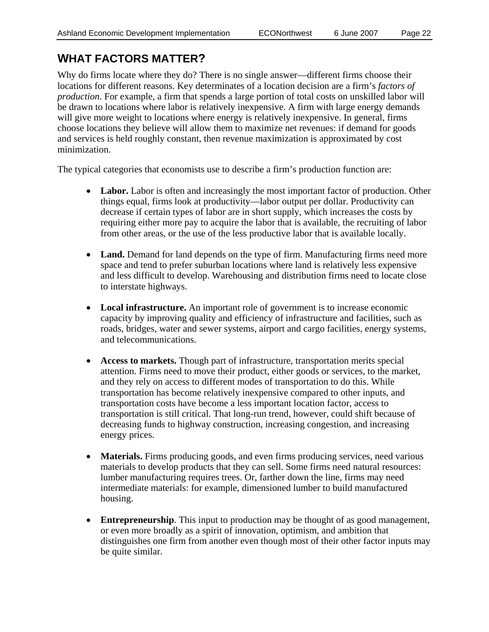## **WHAT FACTORS MATTER?**

Why do firms locate where they do? There is no single answer—different firms choose their locations for different reasons. Key determinates of a location decision are a firm's *factors of production*. For example, a firm that spends a large portion of total costs on unskilled labor will be drawn to locations where labor is relatively inexpensive. A firm with large energy demands will give more weight to locations where energy is relatively inexpensive. In general, firms choose locations they believe will allow them to maximize net revenues: if demand for goods and services is held roughly constant, then revenue maximization is approximated by cost minimization.

The typical categories that economists use to describe a firm's production function are:

- Labor. Labor is often and increasingly the most important factor of production. Other things equal, firms look at productivity—labor output per dollar. Productivity can decrease if certain types of labor are in short supply, which increases the costs by requiring either more pay to acquire the labor that is available, the recruiting of labor from other areas, or the use of the less productive labor that is available locally.
- Land. Demand for land depends on the type of firm. Manufacturing firms need more space and tend to prefer suburban locations where land is relatively less expensive and less difficult to develop. Warehousing and distribution firms need to locate close to interstate highways.
- **Local infrastructure.** An important role of government is to increase economic capacity by improving quality and efficiency of infrastructure and facilities, such as roads, bridges, water and sewer systems, airport and cargo facilities, energy systems, and telecommunications.
- **Access to markets.** Though part of infrastructure, transportation merits special attention. Firms need to move their product, either goods or services, to the market, and they rely on access to different modes of transportation to do this. While transportation has become relatively inexpensive compared to other inputs, and transportation costs have become a less important location factor, access to transportation is still critical. That long-run trend, however, could shift because of decreasing funds to highway construction, increasing congestion, and increasing energy prices.
- **Materials.** Firms producing goods, and even firms producing services, need various materials to develop products that they can sell. Some firms need natural resources: lumber manufacturing requires trees. Or, farther down the line, firms may need intermediate materials: for example, dimensioned lumber to build manufactured housing.
- **Entrepreneurship**. This input to production may be thought of as good management, or even more broadly as a spirit of innovation, optimism, and ambition that distinguishes one firm from another even though most of their other factor inputs may be quite similar.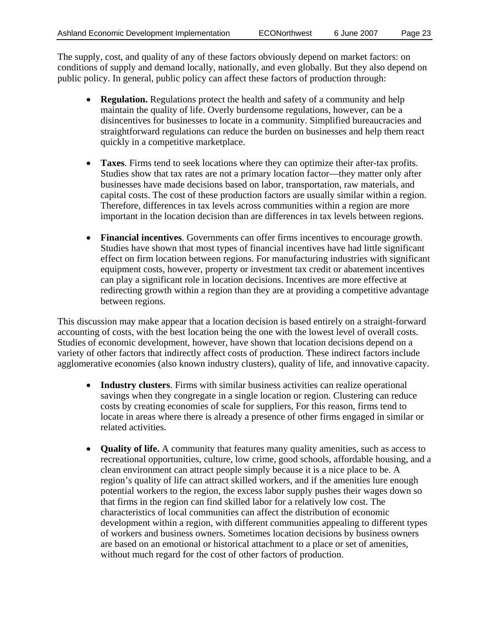The supply, cost, and quality of any of these factors obviously depend on market factors: on conditions of supply and demand locally, nationally, and even globally. But they also depend on public policy. In general, public policy can affect these factors of production through:

- **Regulation.** Regulations protect the health and safety of a community and help maintain the quality of life. Overly burdensome regulations, however, can be a disincentives for businesses to locate in a community. Simplified bureaucracies and straightforward regulations can reduce the burden on businesses and help them react quickly in a competitive marketplace.
- **Taxes**. Firms tend to seek locations where they can optimize their after-tax profits. Studies show that tax rates are not a primary location factor—they matter only after businesses have made decisions based on labor, transportation, raw materials, and capital costs. The cost of these production factors are usually similar within a region. Therefore, differences in tax levels across communities within a region are more important in the location decision than are differences in tax levels between regions.
- **Financial incentives**. Governments can offer firms incentives to encourage growth. Studies have shown that most types of financial incentives have had little significant effect on firm location between regions. For manufacturing industries with significant equipment costs, however, property or investment tax credit or abatement incentives can play a significant role in location decisions. Incentives are more effective at redirecting growth within a region than they are at providing a competitive advantage between regions.

This discussion may make appear that a location decision is based entirely on a straight-forward accounting of costs, with the best location being the one with the lowest level of overall costs. Studies of economic development, however, have shown that location decisions depend on a variety of other factors that indirectly affect costs of production. These indirect factors include agglomerative economies (also known industry clusters), quality of life, and innovative capacity.

- **Industry clusters**. Firms with similar business activities can realize operational savings when they congregate in a single location or region. Clustering can reduce costs by creating economies of scale for suppliers, For this reason, firms tend to locate in areas where there is already a presence of other firms engaged in similar or related activities.
- **Quality of life.** A community that features many quality amenities, such as access to recreational opportunities, culture, low crime, good schools, affordable housing, and a clean environment can attract people simply because it is a nice place to be. A region's quality of life can attract skilled workers, and if the amenities lure enough potential workers to the region, the excess labor supply pushes their wages down so that firms in the region can find skilled labor for a relatively low cost. The characteristics of local communities can affect the distribution of economic development within a region, with different communities appealing to different types of workers and business owners. Sometimes location decisions by business owners are based on an emotional or historical attachment to a place or set of amenities, without much regard for the cost of other factors of production.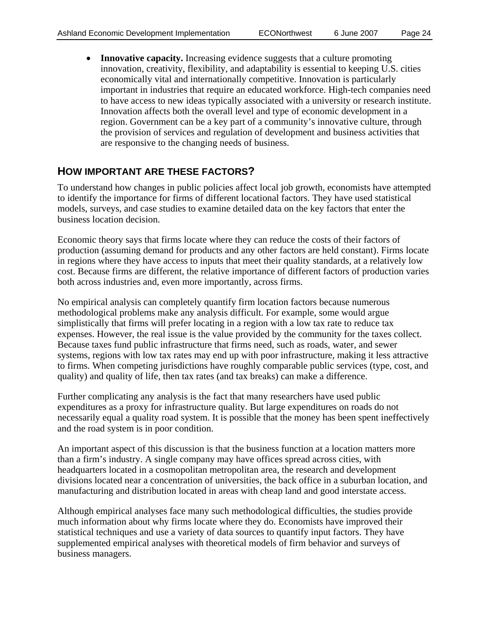• **Innovative capacity.** Increasing evidence suggests that a culture promoting innovation, creativity, flexibility, and adaptability is essential to keeping U.S. cities economically vital and internationally competitive. Innovation is particularly important in industries that require an educated workforce. High-tech companies need to have access to new ideas typically associated with a university or research institute. Innovation affects both the overall level and type of economic development in a region. Government can be a key part of a community's innovative culture, through the provision of services and regulation of development and business activities that are responsive to the changing needs of business.

### **HOW IMPORTANT ARE THESE FACTORS?**

To understand how changes in public policies affect local job growth, economists have attempted to identify the importance for firms of different locational factors. They have used statistical models, surveys, and case studies to examine detailed data on the key factors that enter the business location decision.

Economic theory says that firms locate where they can reduce the costs of their factors of production (assuming demand for products and any other factors are held constant). Firms locate in regions where they have access to inputs that meet their quality standards, at a relatively low cost. Because firms are different, the relative importance of different factors of production varies both across industries and, even more importantly, across firms.

No empirical analysis can completely quantify firm location factors because numerous methodological problems make any analysis difficult. For example, some would argue simplistically that firms will prefer locating in a region with a low tax rate to reduce tax expenses. However, the real issue is the value provided by the community for the taxes collect. Because taxes fund public infrastructure that firms need, such as roads, water, and sewer systems, regions with low tax rates may end up with poor infrastructure, making it less attractive to firms. When competing jurisdictions have roughly comparable public services (type, cost, and quality) and quality of life, then tax rates (and tax breaks) can make a difference.

Further complicating any analysis is the fact that many researchers have used public expenditures as a proxy for infrastructure quality. But large expenditures on roads do not necessarily equal a quality road system. It is possible that the money has been spent ineffectively and the road system is in poor condition.

An important aspect of this discussion is that the business function at a location matters more than a firm's industry. A single company may have offices spread across cities, with headquarters located in a cosmopolitan metropolitan area, the research and development divisions located near a concentration of universities, the back office in a suburban location, and manufacturing and distribution located in areas with cheap land and good interstate access.

Although empirical analyses face many such methodological difficulties, the studies provide much information about why firms locate where they do. Economists have improved their statistical techniques and use a variety of data sources to quantify input factors. They have supplemented empirical analyses with theoretical models of firm behavior and surveys of business managers.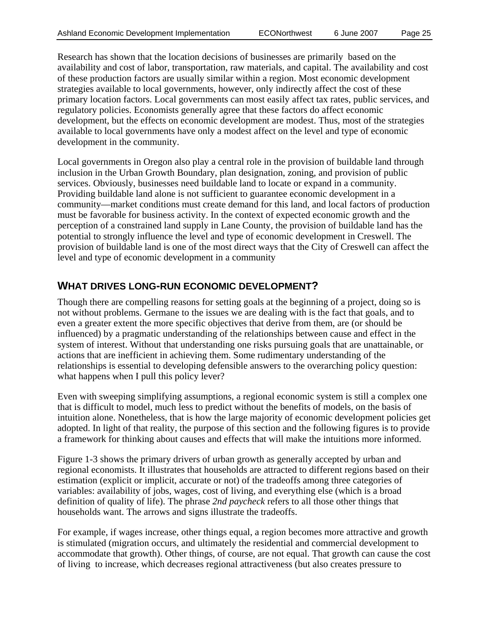Research has shown that the location decisions of businesses are primarily based on the availability and cost of labor, transportation, raw materials, and capital. The availability and cost of these production factors are usually similar within a region. Most economic development strategies available to local governments, however, only indirectly affect the cost of these primary location factors. Local governments can most easily affect tax rates, public services, and regulatory policies. Economists generally agree that these factors do affect economic development, but the effects on economic development are modest. Thus, most of the strategies available to local governments have only a modest affect on the level and type of economic development in the community.

Local governments in Oregon also play a central role in the provision of buildable land through inclusion in the Urban Growth Boundary, plan designation, zoning, and provision of public services. Obviously, businesses need buildable land to locate or expand in a community. Providing buildable land alone is not sufficient to guarantee economic development in a community—market conditions must create demand for this land, and local factors of production must be favorable for business activity. In the context of expected economic growth and the perception of a constrained land supply in Lane County, the provision of buildable land has the potential to strongly influence the level and type of economic development in Creswell. The provision of buildable land is one of the most direct ways that the City of Creswell can affect the level and type of economic development in a community

### **WHAT DRIVES LONG-RUN ECONOMIC DEVELOPMENT?**

Though there are compelling reasons for setting goals at the beginning of a project, doing so is not without problems. Germane to the issues we are dealing with is the fact that goals, and to even a greater extent the more specific objectives that derive from them, are (or should be influenced) by a pragmatic understanding of the relationships between cause and effect in the system of interest. Without that understanding one risks pursuing goals that are unattainable, or actions that are inefficient in achieving them. Some rudimentary understanding of the relationships is essential to developing defensible answers to the overarching policy question: what happens when I pull this policy lever?

Even with sweeping simplifying assumptions, a regional economic system is still a complex one that is difficult to model, much less to predict without the benefits of models, on the basis of intuition alone. Nonetheless, that is how the large majority of economic development policies get adopted. In light of that reality, the purpose of this section and the following figures is to provide a framework for thinking about causes and effects that will make the intuitions more informed.

Figure 1-3 shows the primary drivers of urban growth as generally accepted by urban and regional economists. It illustrates that households are attracted to different regions based on their estimation (explicit or implicit, accurate or not) of the tradeoffs among three categories of variables: availability of jobs, wages, cost of living, and everything else (which is a broad definition of quality of life). The phrase *2nd paycheck* refers to all those other things that households want. The arrows and signs illustrate the tradeoffs.

For example, if wages increase, other things equal, a region becomes more attractive and growth is stimulated (migration occurs, and ultimately the residential and commercial development to accommodate that growth). Other things, of course, are not equal. That growth can cause the cost of living to increase, which decreases regional attractiveness (but also creates pressure to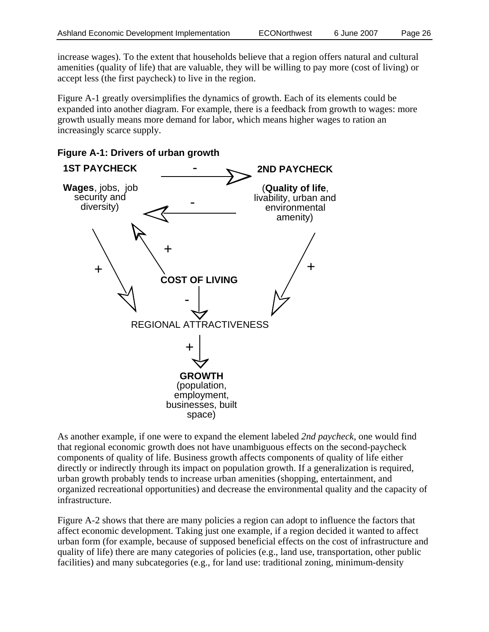increase wages). To the extent that households believe that a region offers natural and cultural amenities (quality of life) that are valuable, they will be willing to pay more (cost of living) or accept less (the first paycheck) to live in the region.

Figure A-1 greatly oversimplifies the dynamics of growth. Each of its elements could be expanded into another diagram. For example, there is a feedback from growth to wages: more growth usually means more demand for labor, which means higher wages to ration an increasingly scarce supply.



**Figure A-1: Drivers of urban growth** 

As another example, if one were to expand the element labeled *2nd paycheck*, one would find that regional economic growth does not have unambiguous effects on the second-paycheck components of quality of life. Business growth affects components of quality of life either directly or indirectly through its impact on population growth. If a generalization is required, urban growth probably tends to increase urban amenities (shopping, entertainment, and organized recreational opportunities) and decrease the environmental quality and the capacity of infrastructure.

Figure A-2 shows that there are many policies a region can adopt to influence the factors that affect economic development. Taking just one example, if a region decided it wanted to affect urban form (for example, because of supposed beneficial effects on the cost of infrastructure and quality of life) there are many categories of policies (e.g., land use, transportation, other public facilities) and many subcategories (e.g., for land use: traditional zoning, minimum-density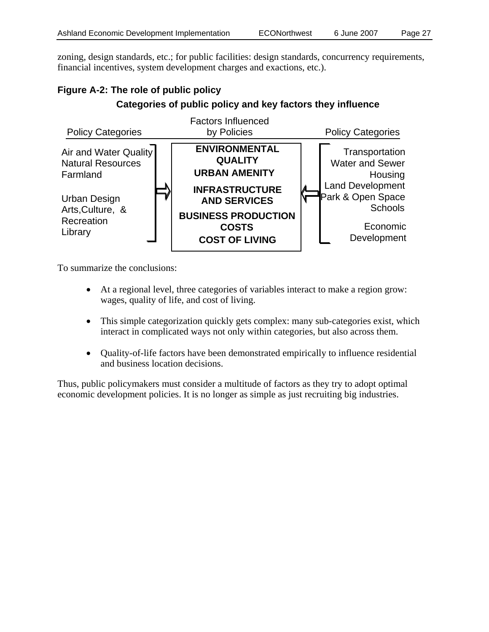zoning, design standards, etc.; for public facilities: design standards, concurrency requirements, financial incentives, system development charges and exactions, etc.).

### **Figure A-2: The role of public policy Categories of public policy and key factors they influence**



To summarize the conclusions:

- At a regional level, three categories of variables interact to make a region grow: wages, quality of life, and cost of living.
- This simple categorization quickly gets complex: many sub-categories exist, which interact in complicated ways not only within categories, but also across them.
- Quality-of-life factors have been demonstrated empirically to influence residential and business location decisions.

Thus, public policymakers must consider a multitude of factors as they try to adopt optimal economic development policies. It is no longer as simple as just recruiting big industries.